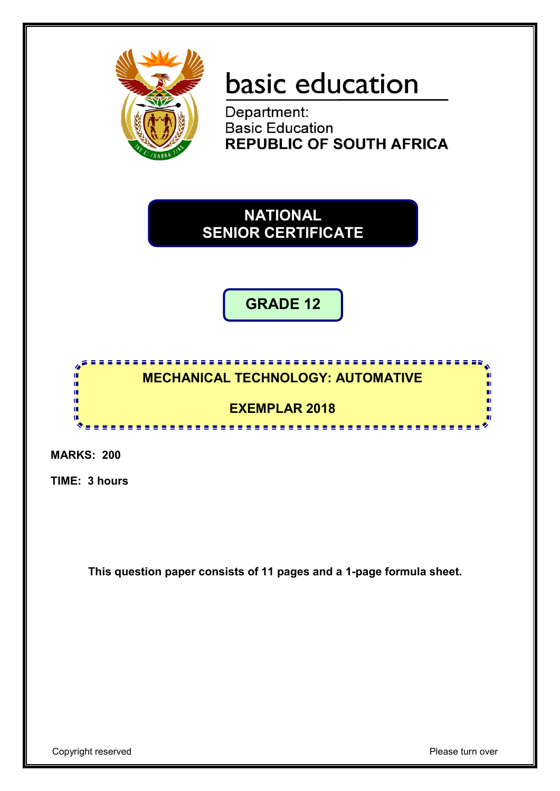

# basic education

Department: **Basic Education REPUBLIC OF SOUTH AFRICA** 

**NATIONAL SENIOR CERTIFICATE**

**GRADE 12**

# <u>. . . . . . . . . . . . . . .</u> **MECHANICAL TECHNOLOGY: AUTOMATIVE**

**EXEMPLAR 2018**

. . . . . . . . . . . . . . . . . . .

**MARKS: 200**

ı. if.

**TIME: 3 hours**

**This question paper consists of 11 pages and a 1-page formula sheet.**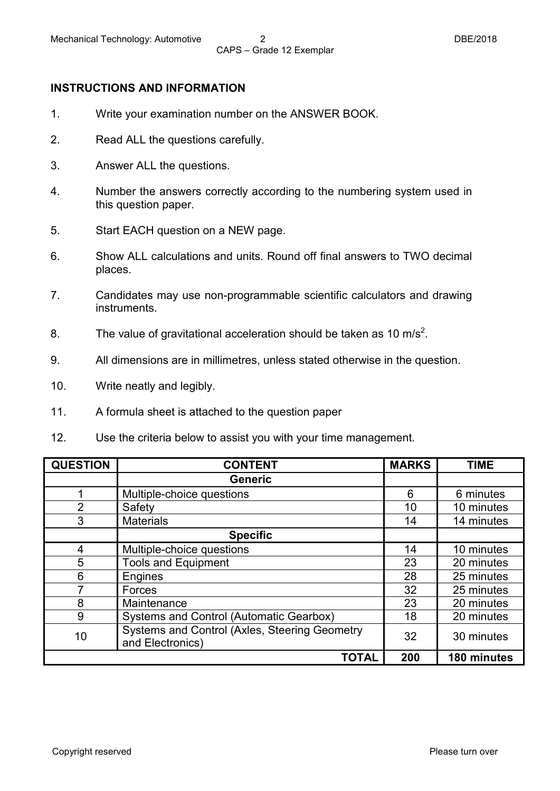#### **INSTRUCTIONS AND INFORMATION**

- 1. Write your examination number on the ANSWER BOOK.
- 2. Read ALL the questions carefully.
- 3. Answer ALL the questions.
- 4. Number the answers correctly according to the numbering system used in this question paper.
- 5. Start EACH question on a NEW page.
- 6. Show ALL calculations and units. Round off final answers to TWO decimal places.
- 7. Candidates may use non-programmable scientific calculators and drawing instruments.
- 8. The value of gravitational acceleration should be taken as 10 m/s<sup>2</sup>.
- 9. All dimensions are in millimetres, unless stated otherwise in the question.
- 10. Write neatly and legibly.
- 11. A formula sheet is attached to the question paper
- 12. Use the criteria below to assist you with your time management.

| <b>QUESTION</b> | <b>CONTENT</b>                                                    | <b>MARKS</b> | <b>TIME</b> |
|-----------------|-------------------------------------------------------------------|--------------|-------------|
|                 | <b>Generic</b>                                                    |              |             |
|                 | Multiple-choice questions                                         | 6            | 6 minutes   |
| $\overline{2}$  | Safety                                                            | 10           | 10 minutes  |
| 3               | <b>Materials</b>                                                  | 14           | 14 minutes  |
|                 | <b>Specific</b>                                                   |              |             |
| 4               | Multiple-choice questions                                         | 14           | 10 minutes  |
| 5               | <b>Tools and Equipment</b>                                        | 23           | 20 minutes  |
| 6               | Engines                                                           | 28           | 25 minutes  |
|                 | Forces                                                            | 32           | 25 minutes  |
| 8               | Maintenance                                                       | 23           | 20 minutes  |
| 9               | Systems and Control (Automatic Gearbox)                           | 18           | 20 minutes  |
| 10              | Systems and Control (Axles, Steering Geometry<br>and Electronics) | 32           | 30 minutes  |
|                 | <b>TOTAL</b>                                                      | 200          | 180 minutes |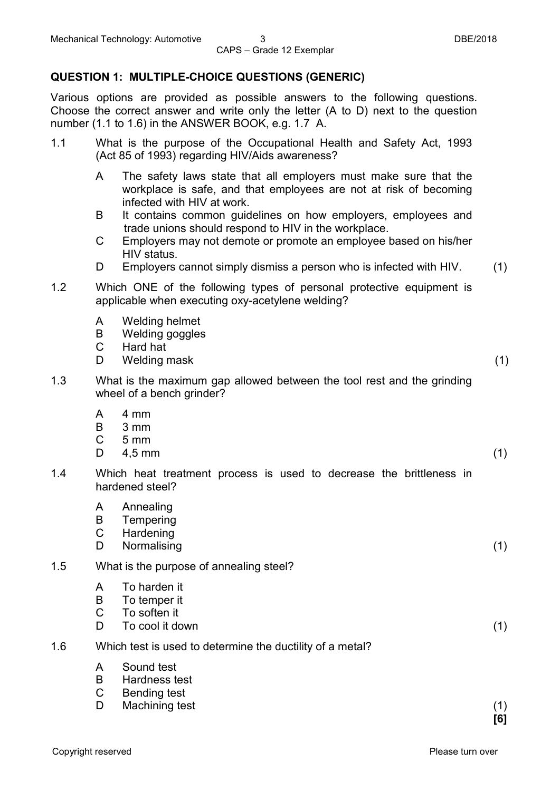# **QUESTION 1: MULTIPLE-CHOICE QUESTIONS (GENERIC)**

Various options are provided as possible answers to the following questions. Choose the correct answer and write only the letter (A to D) next to the question number (1.1 to 1.6) in the ANSWER BOOK, e.g. 1.7 A.

- 1.1 What is the purpose of the Occupational Health and Safety Act, 1993 (Act 85 of 1993) regarding HIV/Aids awareness?
	- A The safety laws state that all employers must make sure that the workplace is safe, and that employees are not at risk of becoming infected with HIV at work.
	- B It contains common guidelines on how employers, employees and trade unions should respond to HIV in the workplace.
	- C Employers may not demote or promote an employee based on his/her HIV status.
	- D<sub>1</sub> Employers cannot simply dismiss a person who is infected with HIV. (1)
- 1.2 Which ONE of the following types of personal protective equipment is applicable when executing oxy-acetylene welding?
	- A Welding helmet
	- B Welding goggles
	- $\mathcal{C}$ Hard hat
	- D Welding mask (1)
- 1.3 What is the maximum gap allowed between the tool rest and the grinding wheel of a bench grinder?
	- A 4 mm
	- B 3 mm
	- $\mathsf{C}$ 5 mm
	- D  $4,5 \text{ mm}$  (1)
- 1.4 Which heat treatment process is used to decrease the brittleness in hardened steel?
	- A Annealing
	- B **Tempering**
	- $\mathcal{C}$ **Hardening**
	- D Normalising (1)
- 1.5 What is the purpose of annealing steel?
	- A To harden it
	- B To temper it
	- C To soften it
	- D<sub>1</sub> To cool it down (1)
- 1.6 Which test is used to determine the ductility of a metal?
	- A Sound test
	- B Hardness test
	- C Bending test
	- D. Machining test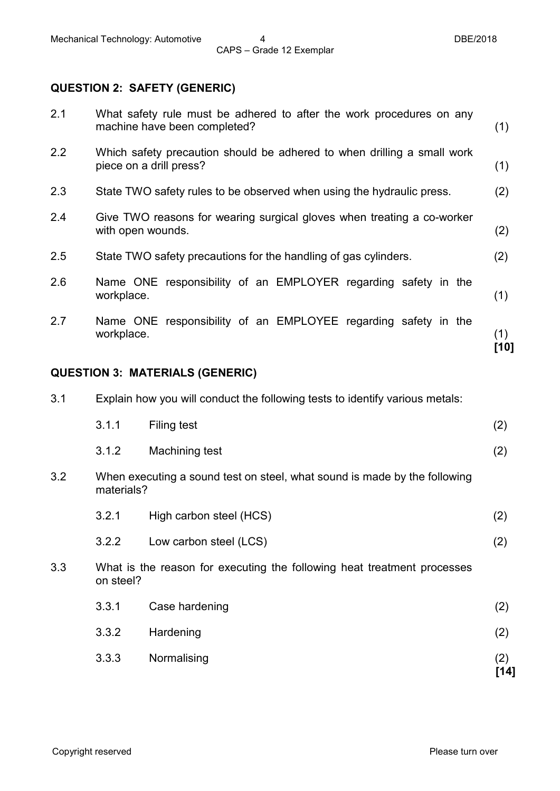### **QUESTION 2: SAFETY (GENERIC)**

| 2.1 |                   | What safety rule must be adhered to after the work procedures on any<br>machine have been completed? | (1)         |
|-----|-------------------|------------------------------------------------------------------------------------------------------|-------------|
| 2.2 |                   | Which safety precaution should be adhered to when drilling a small work<br>piece on a drill press?   | (1)         |
| 2.3 |                   | State TWO safety rules to be observed when using the hydraulic press.                                | (2)         |
| 2.4 | with open wounds. | Give TWO reasons for wearing surgical gloves when treating a co-worker                               | (2)         |
| 2.5 |                   | State TWO safety precautions for the handling of gas cylinders.                                      | (2)         |
| 2.6 | workplace.        | Name ONE responsibility of an EMPLOYER regarding safety in the                                       | (1)         |
| 2.7 | workplace.        | Name ONE responsibility of an EMPLOYEE regarding safety in the                                       | (1)<br>[10] |
|     |                   | <b>QUESTION 3: MATERIALS (GENERIC)</b>                                                               |             |
| 3.1 |                   | Explain how you will conduct the following tests to identify various metals:                         |             |
|     | 3.1.1             | Filing test                                                                                          | (2)         |
|     | 3.1.2             | Machining test                                                                                       | (2)         |
|     |                   |                                                                                                      |             |

3.2 When executing a sound test on steel, what sound is made by the following materials?

| 3.2.1 | High carbon steel (HCS) |  |
|-------|-------------------------|--|
| 3.2.2 | Low carbon steel (LCS)  |  |

3.3 What is the reason for executing the following heat treatment processes on steel?

| 3.3.3 | Normalising    | (2)<br>[14]       |
|-------|----------------|-------------------|
| 3.3.2 | Hardening      | (2)               |
| 3.3.1 | Case hardening | $\left( 2\right)$ |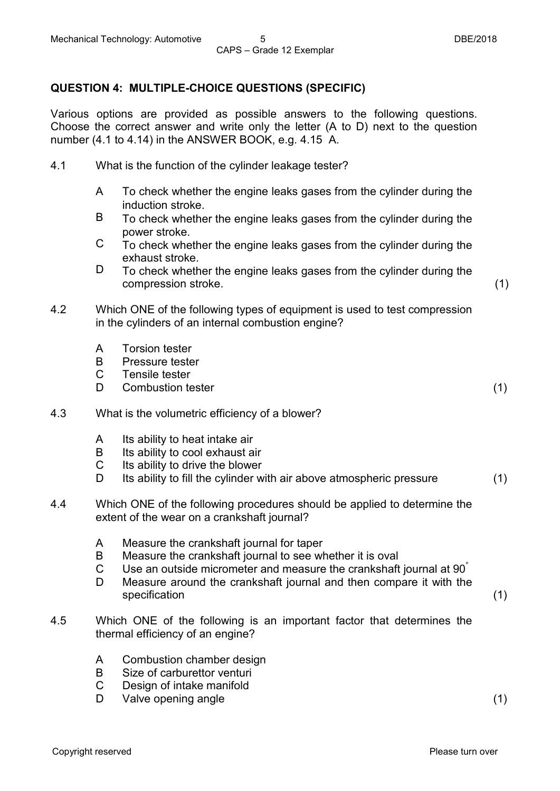# **QUESTION 4: MULTIPLE-CHOICE QUESTIONS (SPECIFIC)**

Various options are provided as possible answers to the following questions. Choose the correct answer and write only the letter (A to D) next to the question number (4.1 to 4.14) in the ANSWER BOOK, e.g. 4.15 A.

- 4.1 What is the function of the cylinder leakage tester?
	- A To check whether the engine leaks gases from the cylinder during the induction stroke.
	- B To check whether the engine leaks gases from the cylinder during the power stroke.
	- $\mathcal{C}$ To check whether the engine leaks gases from the cylinder during the exhaust stroke.
	- D<sub>1</sub> To check whether the engine leaks gases from the cylinder during the compression stroke. (1)
- 4.2 Which ONE of the following types of equipment is used to test compression in the cylinders of an internal combustion engine?
	- A Torsion tester
	- B Pressure tester
	- $\mathcal{C}$ Tensile tester
	- D. Combustion tester (1)
- 4.3 What is the volumetric efficiency of a blower?
	- A Its ability to heat intake air
	- B Its ability to cool exhaust air
	- C Its ability to drive the blower
	- D Its ability to fill the cylinder with air above atmospheric pressure (1)
- 4.4 Which ONE of the following procedures should be applied to determine the extent of the wear on a crankshaft journal?
	- A Measure the crankshaft journal for taper
	- B Measure the crankshaft journal to see whether it is oval
	- C Use an outside micrometer and measure the crankshaft journal at 90<sup>°</sup>
	- D Measure around the crankshaft journal and then compare it with the specification (1) (1)
- 4.5 Which ONE of the following is an important factor that determines the thermal efficiency of an engine?
	- A Combustion chamber design
	- B Size of carburettor venturi
	- $\mathcal{C}$ Design of intake manifold
	- D Valve opening angle (1) (1)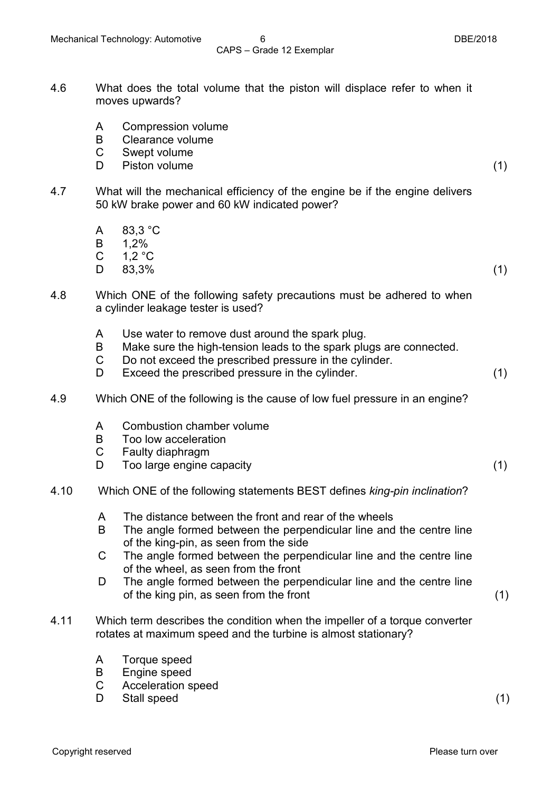- 4.6 What does the total volume that the piston will displace refer to when it moves upwards?
	- A Compression volume
	- B Clearance volume
	- $\mathcal{C}$ Swept volume
	- D. Piston volume (1)
- 4.7 What will the mechanical efficiency of the engine be if the engine delivers 50 kW brake power and 60 kW indicated power?
	- A 83,3 °C
	- B 1,2%
	- C 1,2 °C
	- D  $83,3\%$  (1)

- 4.8 Which ONE of the following safety precautions must be adhered to when a cylinder leakage tester is used?
	- A Use water to remove dust around the spark plug.
	- B Make sure the high-tension leads to the spark plugs are connected.
	- C Do not exceed the prescribed pressure in the cylinder.
	- D Exceed the prescribed pressure in the cylinder. (1)
- 4.9 Which ONE of the following is the cause of low fuel pressure in an engine?
	- A Combustion chamber volume
	- B Too low acceleration
	- $\mathcal{C}$ Faulty diaphragm
	- D. Too large engine capacity (1)
- 4.10 Which ONE of the following statements BEST defines *king-pin inclination*?
	- A The distance between the front and rear of the wheels
	- B The angle formed between the perpendicular line and the centre line of the king-pin, as seen from the side
	- C The angle formed between the perpendicular line and the centre line of the wheel, as seen from the front
	- D The angle formed between the perpendicular line and the centre line of the king pin, as seen from the front (1)
- 4.11 Which term describes the condition when the impeller of a torque converter rotates at maximum speed and the turbine is almost stationary?
	- A Torque speed
	- B Engine speed
	- $\mathcal{C}$ Acceleration speed
	- D Stall speed (1)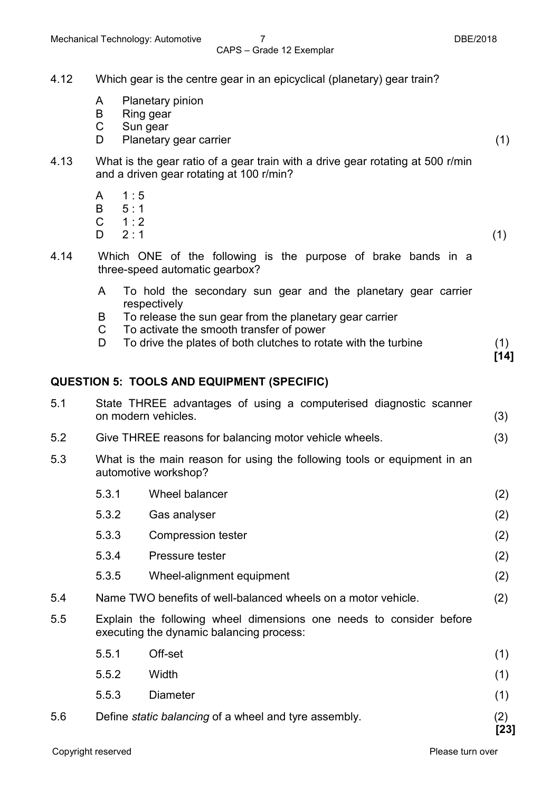#### CAPS – Grade 12 Exemplar

| 4.12 | Which gear is the centre gear in an epicyclical (planetary) gear train? |                                                                                                                            |               |
|------|-------------------------------------------------------------------------|----------------------------------------------------------------------------------------------------------------------------|---------------|
|      | A<br>B<br>C<br>D                                                        | Planetary pinion<br>Ring gear<br>Sun gear<br>Planetary gear carrier                                                        | (1)           |
| 4.13 |                                                                         | What is the gear ratio of a gear train with a drive gear rotating at 500 r/min<br>and a driven gear rotating at 100 r/min? |               |
|      | A<br>B<br>$\mathsf{C}$<br>D                                             | 1:5<br>5:1<br>1:2<br>2:1                                                                                                   | (1)           |
| 4.14 |                                                                         | Which ONE of the following is the purpose of brake bands in a<br>three-speed automatic gearbox?                            |               |
|      | A                                                                       | To hold the secondary sun gear and the planetary gear carrier                                                              |               |
|      | B<br>C                                                                  | respectively<br>To release the sun gear from the planetary gear carrier<br>To activate the smooth transfer of power        |               |
|      | D                                                                       | To drive the plates of both clutches to rotate with the turbine                                                            | (1)<br>$[14]$ |
|      |                                                                         | <b>QUESTION 5: TOOLS AND EQUIPMENT (SPECIFIC)</b>                                                                          |               |
| 5.1  |                                                                         | State THREE advantages of using a computerised diagnostic scanner<br>on modern vehicles.                                   | (3)           |
| 5.2  |                                                                         | Give THREE reasons for balancing motor vehicle wheels.                                                                     | (3)           |
| 5.3  |                                                                         | What is the main reason for using the following tools or equipment in an<br>automotive workshop?                           |               |
|      |                                                                         | 5.3.1<br>Wheel balancer                                                                                                    | (2)           |
|      | 5.3.2                                                                   | Gas analyser                                                                                                               | (2)           |
|      | 5.3.3                                                                   | Compression tester                                                                                                         | (2)           |
|      | 5.3.4                                                                   | Pressure tester                                                                                                            | (2)           |
|      | 5.3.5                                                                   | Wheel-alignment equipment                                                                                                  | (2)           |
| 5.4  |                                                                         | Name TWO benefits of well-balanced wheels on a motor vehicle.                                                              | (2)           |
| 5.5  |                                                                         | Explain the following wheel dimensions one needs to consider before<br>executing the dynamic balancing process:            |               |
|      | 5.5.1                                                                   | Off-set                                                                                                                    | (1)           |
|      | 5.5.2                                                                   | Width                                                                                                                      | (1)           |
|      | 5.5.3                                                                   | <b>Diameter</b>                                                                                                            | (1)           |
| 5.6  |                                                                         | Define static balancing of a wheel and tyre assembly.                                                                      | (2)<br>[23]   |

Copyright reserved **Please** turn over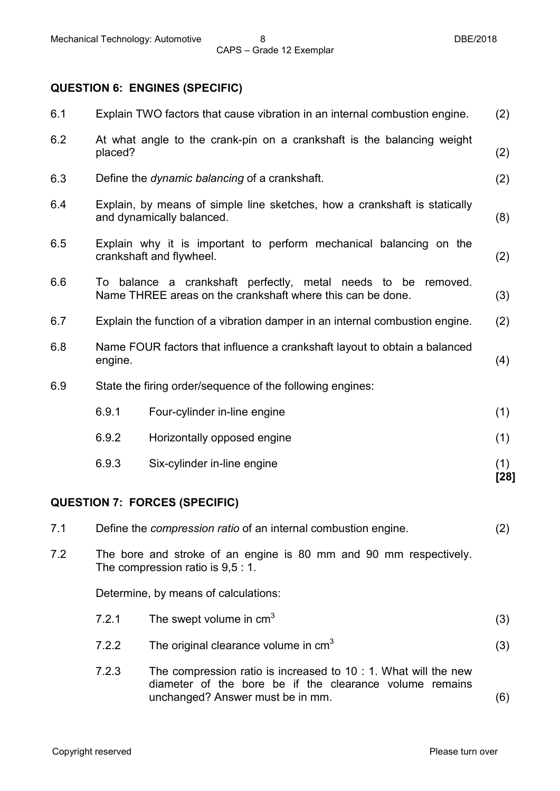#### **QUESTION 6: ENGINES (SPECIFIC)**

| 6.1 |                                                                                      | Explain TWO factors that cause vibration in an internal combustion engine.                                                        | (2)         |
|-----|--------------------------------------------------------------------------------------|-----------------------------------------------------------------------------------------------------------------------------------|-------------|
| 6.2 | placed?                                                                              | At what angle to the crank-pin on a crankshaft is the balancing weight                                                            | (2)         |
| 6.3 |                                                                                      | Define the dynamic balancing of a crankshaft.                                                                                     | (2)         |
| 6.4 |                                                                                      | Explain, by means of simple line sketches, how a crankshaft is statically<br>and dynamically balanced.                            | (8)         |
| 6.5 |                                                                                      | Explain why it is important to perform mechanical balancing on the<br>crankshaft and flywheel.                                    | (2)         |
| 6.6 |                                                                                      | To balance a crankshaft perfectly, metal needs to<br>be<br>removed.<br>Name THREE areas on the crankshaft where this can be done. | (3)         |
| 6.7 |                                                                                      | Explain the function of a vibration damper in an internal combustion engine.                                                      | (2)         |
| 6.8 | Name FOUR factors that influence a crankshaft layout to obtain a balanced<br>engine. |                                                                                                                                   | (4)         |
| 6.9 |                                                                                      | State the firing order/sequence of the following engines:                                                                         |             |
|     | 6.9.1                                                                                | Four-cylinder in-line engine                                                                                                      | (1)         |
|     | 6.9.2                                                                                | Horizontally opposed engine                                                                                                       | (1)         |
|     | 6.9.3                                                                                | Six-cylinder in-line engine                                                                                                       | (1)<br>[28] |
|     |                                                                                      | <b>QUESTION 7: FORCES (SPECIFIC)</b>                                                                                              |             |
| 7.1 |                                                                                      | Define the <i>compression ratio</i> of an internal combustion engine.                                                             | (2)         |

7.2 The bore and stroke of an engine is 80 mm and 90 mm respectively. The compression ratio is 9,5 : 1.

Determine, by means of calculations:

| The swept volume in cm <sup>3</sup> |  |
|-------------------------------------|--|
|                                     |  |

- 7.2.2 The original clearance volume in  $cm<sup>3</sup>$  (3)
- 7.2.3 The compression ratio is increased to 10 : 1. What will the new diameter of the bore be if the clearance volume remains unchanged? Answer must be in mm. (6)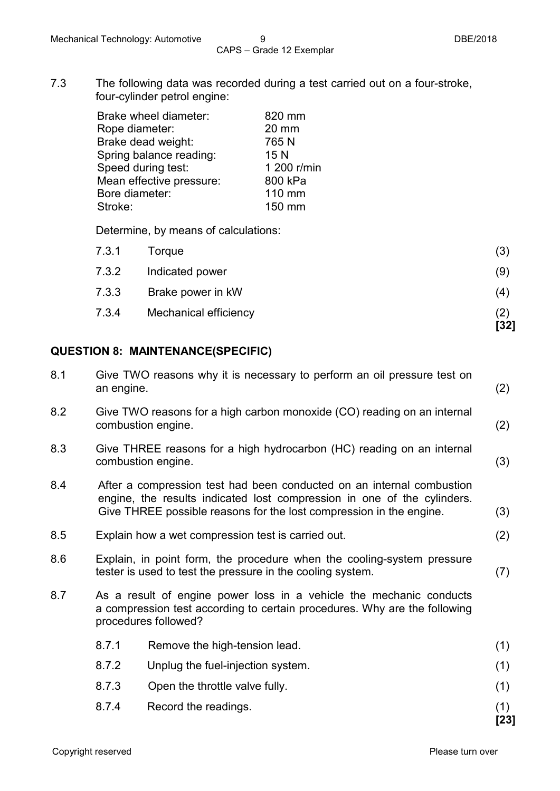7.3 The following data was recorded during a test carried out on a four-stroke, four-cylinder petrol engine:

| Brake wheel diameter:    | 820 mm      |
|--------------------------|-------------|
| Rope diameter:           | 20 mm       |
|                          |             |
| Brake dead weight:       | 765N        |
| Spring balance reading:  | 15 N        |
| Speed during test:       | 1 200 r/min |
| Mean effective pressure: | 800 kPa     |
| Bore diameter:           | 110 mm      |
| Stroke:                  | 150 mm      |

Determine, by means of calculations:

|       |                              | $[32]$ |
|-------|------------------------------|--------|
| 7.3.4 | <b>Mechanical efficiency</b> | (2)    |
| 7.3.3 | Brake power in kW            | (4)    |
| 7.3.2 | Indicated power              | (9)    |
| 7.3.1 | Torque                       | (3)    |

# **QUESTION 8: MAINTENANCE(SPECIFIC)**

| 8.1 | an engine. | Give TWO reasons why it is necessary to perform an oil pressure test on                                                                                                                                                 | (2)         |  |
|-----|------------|-------------------------------------------------------------------------------------------------------------------------------------------------------------------------------------------------------------------------|-------------|--|
| 8.2 |            | Give TWO reasons for a high carbon monoxide (CO) reading on an internal<br>combustion engine.                                                                                                                           | (2)         |  |
| 8.3 |            | Give THREE reasons for a high hydrocarbon (HC) reading on an internal<br>combustion engine.                                                                                                                             |             |  |
| 8.4 |            | After a compression test had been conducted on an internal combustion<br>engine, the results indicated lost compression in one of the cylinders.<br>Give THREE possible reasons for the lost compression in the engine. | (3)         |  |
| 8.5 |            | Explain how a wet compression test is carried out.                                                                                                                                                                      | (2)         |  |
| 8.6 |            | Explain, in point form, the procedure when the cooling-system pressure<br>tester is used to test the pressure in the cooling system.                                                                                    | (7)         |  |
| 8.7 |            | As a result of engine power loss in a vehicle the mechanic conducts<br>a compression test according to certain procedures. Why are the following<br>procedures followed?                                                |             |  |
|     | 8.7.1      | Remove the high-tension lead.                                                                                                                                                                                           | (1)         |  |
|     | 8.7.2      | Unplug the fuel-injection system.                                                                                                                                                                                       | (1)         |  |
|     | 8.7.3      | Open the throttle valve fully.                                                                                                                                                                                          | (1)         |  |
|     | 8.7.4      | Record the readings.                                                                                                                                                                                                    | (1)<br>[23] |  |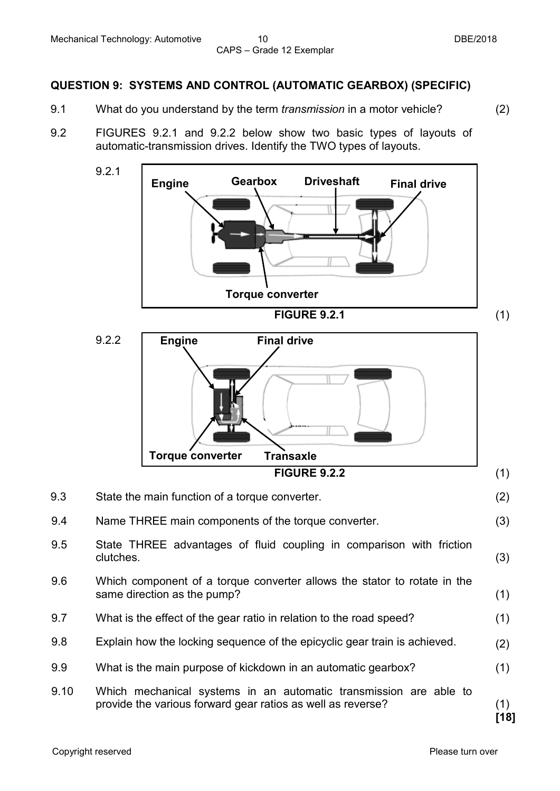**QUESTION 9: SYSTEMS AND CONTROL (AUTOMATIC GEARBOX) (SPECIFIC)**

9.1 What do you understand by the term *transmission* in a motor vehicle? (2)

9.2 FIGURES 9.2.1 and 9.2.2 below show two basic types of layouts of automatic-transmission drives. Identify the TWO types of layouts.

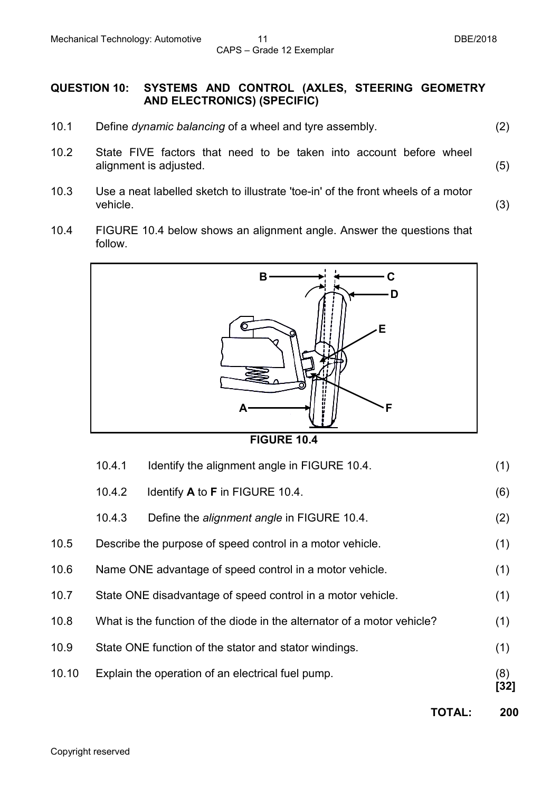# **QUESTION 10: SYSTEMS AND CONTROL (AXLES, STEERING GEOMETRY AND ELECTRONICS) (SPECIFIC)**

- 10.1 Define *dynamic balancing* of a wheel and tyre assembly. (2)
- 10.2 State FIVE factors that need to be taken into account before wheel alignment is adjusted. (5)
- 10.3 Use a neat labelled sketch to illustrate 'toe-in' of the front wheels of a motor vehicle. (3)
- 10.4 FIGURE 10.4 below shows an alignment angle. Answer the questions that follow.



**FIGURE 10.4**

| 10.10 |        | Explain the operation of an electrical fuel pump.                       | (8)<br>[32] |
|-------|--------|-------------------------------------------------------------------------|-------------|
| 10.9  |        | State ONE function of the stator and stator windings.                   | (1)         |
| 10.8  |        | What is the function of the diode in the alternator of a motor vehicle? | (1)         |
| 10.7  |        | State ONE disadvantage of speed control in a motor vehicle.             | (1)         |
| 10.6  |        | Name ONE advantage of speed control in a motor vehicle.                 | (1)         |
| 10.5  |        | Describe the purpose of speed control in a motor vehicle.               | (1)         |
|       | 10.4.3 | Define the alignment angle in FIGURE 10.4.                              | (2)         |
|       | 10.4.2 | Identify A to F in FIGURE 10.4.                                         | (6)         |
|       | 10.4.1 | Identify the alignment angle in FIGURE 10.4.                            | (1)         |